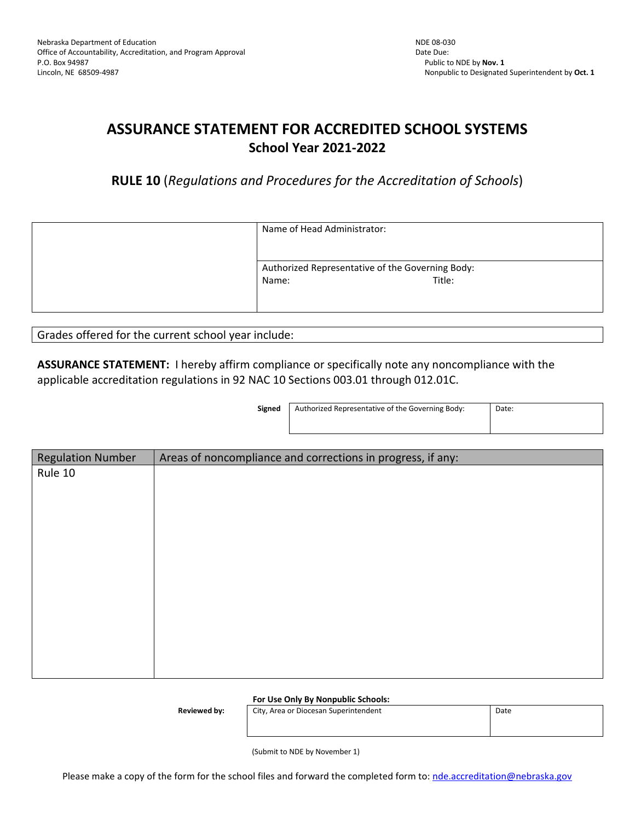# **ASSURANCE STATEMENT FOR ACCREDITED SCHOOL SYSTEMS School Year 2021-2022**

**RULE 10** (*Regulations and Procedures for the Accreditation of Schools*)

| Name of Head Administrator:                               |        |
|-----------------------------------------------------------|--------|
| Authorized Representative of the Governing Body:<br>Name: | Title: |

Grades offered for the current school year include:

**ASSURANCE STATEMENT:** I hereby affirm compliance or specifically note any noncompliance with the applicable accreditation regulations in 92 NAC 10 Sections 003.01 through 012.01C.

**Signed** | Authorized Representative of the Governing Body: | Date:

| <b>Regulation Number</b> | Areas of noncompliance and corrections in progress, if any: |  |
|--------------------------|-------------------------------------------------------------|--|
| Rule 10                  |                                                             |  |
|                          |                                                             |  |
|                          |                                                             |  |
|                          |                                                             |  |
|                          |                                                             |  |
|                          |                                                             |  |
|                          |                                                             |  |
|                          |                                                             |  |
|                          |                                                             |  |
|                          |                                                             |  |
|                          |                                                             |  |
|                          |                                                             |  |

**For Use Only By Nonpublic Schools:**

**Reviewed by:** City, Area or Diocesan Superintendent **Date** Date

(Submit to NDE by November 1)